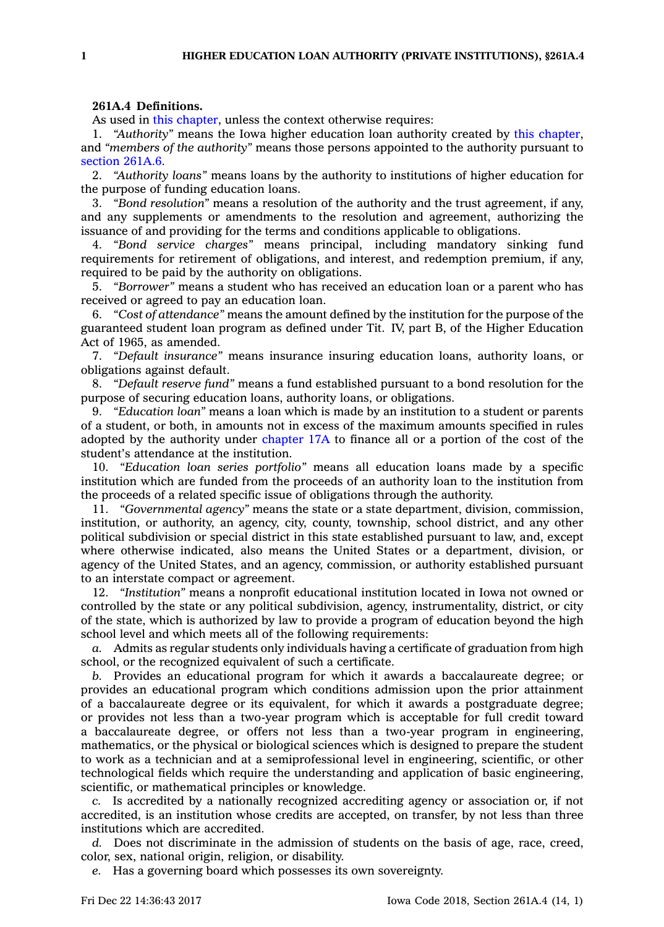## **261A.4 Definitions.**

As used in this [chapter](https://www.legis.iowa.gov/docs/code//261A.pdf), unless the context otherwise requires:

1. *"Authority"* means the Iowa higher education loan authority created by this [chapter](https://www.legis.iowa.gov/docs/code//261A.pdf), and *"members of the authority"* means those persons appointed to the authority pursuant to [section](https://www.legis.iowa.gov/docs/code/261A.6.pdf) 261A.6.

2. *"Authority loans"* means loans by the authority to institutions of higher education for the purpose of funding education loans.

3. *"Bond resolution"* means <sup>a</sup> resolution of the authority and the trust agreement, if any, and any supplements or amendments to the resolution and agreement, authorizing the issuance of and providing for the terms and conditions applicable to obligations.

4. *"Bond service charges"* means principal, including mandatory sinking fund requirements for retirement of obligations, and interest, and redemption premium, if any, required to be paid by the authority on obligations.

5. *"Borrower"* means <sup>a</sup> student who has received an education loan or <sup>a</sup> parent who has received or agreed to pay an education loan.

6. *"Cost of attendance"* means the amount defined by the institution for the purpose of the guaranteed student loan program as defined under Tit. IV, part B, of the Higher Education Act of 1965, as amended.

7. *"Default insurance"* means insurance insuring education loans, authority loans, or obligations against default.

8. *"Default reserve fund"* means <sup>a</sup> fund established pursuant to <sup>a</sup> bond resolution for the purpose of securing education loans, authority loans, or obligations.

9. *"Education loan"* means <sup>a</sup> loan which is made by an institution to <sup>a</sup> student or parents of <sup>a</sup> student, or both, in amounts not in excess of the maximum amounts specified in rules adopted by the authority under [chapter](https://www.legis.iowa.gov/docs/code//17A.pdf) 17A to finance all or <sup>a</sup> portion of the cost of the student's attendance at the institution.

10. *"Education loan series portfolio"* means all education loans made by <sup>a</sup> specific institution which are funded from the proceeds of an authority loan to the institution from the proceeds of <sup>a</sup> related specific issue of obligations through the authority.

11. *"Governmental agency"* means the state or <sup>a</sup> state department, division, commission, institution, or authority, an agency, city, county, township, school district, and any other political subdivision or special district in this state established pursuant to law, and, except where otherwise indicated, also means the United States or <sup>a</sup> department, division, or agency of the United States, and an agency, commission, or authority established pursuant to an interstate compact or agreement.

12. *"Institution"* means <sup>a</sup> nonprofit educational institution located in Iowa not owned or controlled by the state or any political subdivision, agency, instrumentality, district, or city of the state, which is authorized by law to provide <sup>a</sup> program of education beyond the high school level and which meets all of the following requirements:

*a.* Admits as regular students only individuals having <sup>a</sup> certificate of graduation from high school, or the recognized equivalent of such <sup>a</sup> certificate.

*b.* Provides an educational program for which it awards <sup>a</sup> baccalaureate degree; or provides an educational program which conditions admission upon the prior attainment of <sup>a</sup> baccalaureate degree or its equivalent, for which it awards <sup>a</sup> postgraduate degree; or provides not less than <sup>a</sup> two-year program which is acceptable for full credit toward <sup>a</sup> baccalaureate degree, or offers not less than <sup>a</sup> two-year program in engineering, mathematics, or the physical or biological sciences which is designed to prepare the student to work as <sup>a</sup> technician and at <sup>a</sup> semiprofessional level in engineering, scientific, or other technological fields which require the understanding and application of basic engineering, scientific, or mathematical principles or knowledge.

*c.* Is accredited by <sup>a</sup> nationally recognized accrediting agency or association or, if not accredited, is an institution whose credits are accepted, on transfer, by not less than three institutions which are accredited.

*d.* Does not discriminate in the admission of students on the basis of age, race, creed, color, sex, national origin, religion, or disability.

*e.* Has <sup>a</sup> governing board which possesses its own sovereignty.